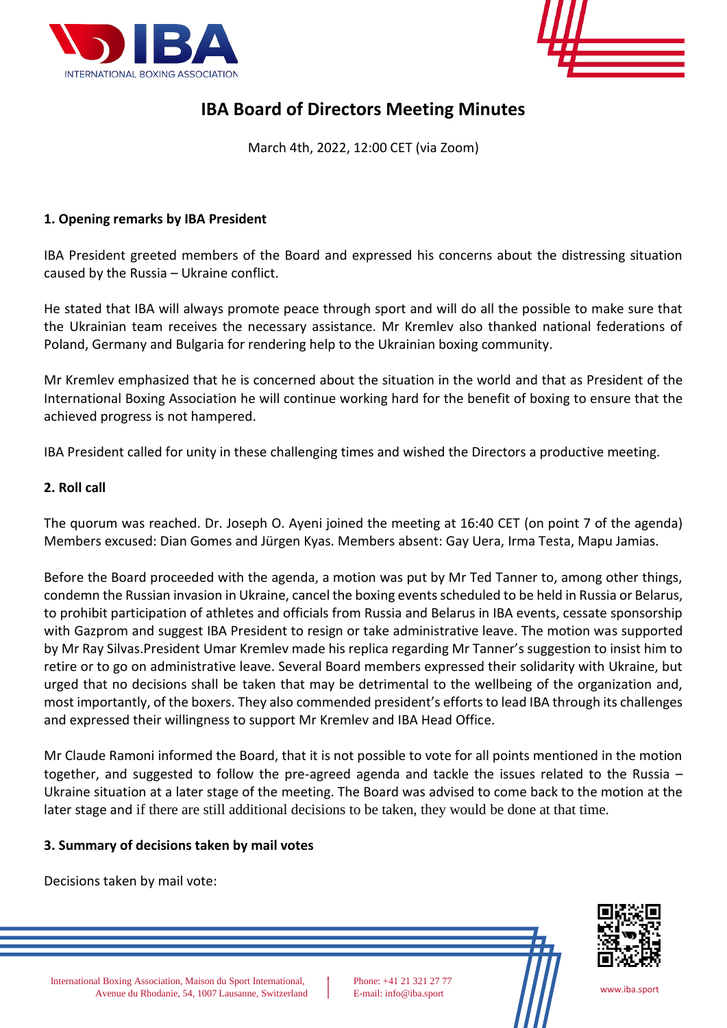



# **IBA Board of Directors Meeting Minutes**

March 4th, 2022, 12:00 CET (via Zoom)

## **1. Opening remarks by IBA President**

IBA President greeted members of the Board and expressed his concerns about the distressing situation caused by the Russia – Ukraine conflict.

He stated that IBA will always promote peace through sport and will do all the possible to make sure that the Ukrainian team receives the necessary assistance. Mr Kremlev also thanked national federations of Poland, Germany and Bulgaria for rendering help to the Ukrainian boxing community.

Mr Kremlev emphasized that he is concerned about the situation in the world and that as President of the International Boxing Association he will continue working hard for the benefit of boxing to ensure that the achieved progress is not hampered.

IBA President called for unity in these challenging times and wished the Directors a productive meeting.

## **2. Roll call**

The quorum was reached. Dr. Joseph O. Ayeni joined the meeting at 16:40 CET (on point 7 of the agenda) Members excused: Dian Gomes and Jürgen Kyas. Members absent: Gay Uera, Irma Testa, Mapu Jamias.

Before the Board proceeded with the agenda, a motion was put by Mr Ted Tanner to, among other things, condemn the Russian invasion in Ukraine, cancel the boxing events scheduled to be held in Russia or Belarus, to prohibit participation of athletes and officials from Russia and Belarus in IBA events, cessate sponsorship with Gazprom and suggest IBA President to resign or take administrative leave. The motion was supported by Mr Ray Silvas.President Umar Kremlev made his replica regarding Mr Tanner's suggestion to insist him to retire or to go on administrative leave. Several Board members expressed their solidarity with Ukraine, but urged that no decisions shall be taken that may be detrimental to the wellbeing of the organization and, most importantly, of the boxers. They also commended president's efforts to lead IBA through its challenges and expressed their willingness to support Mr Kremlev and IBA Head Office.

Mr Claude Ramoni informed the Board, that it is not possible to vote for all points mentioned in the motion together, and suggested to follow the pre-agreed agenda and tackle the issues related to the Russia – Ukraine situation at a later stage of the meeting. The Board was advised to come back to the motion at the later stage and if there are still additional decisions to be taken, they would be done at that time.

#### **3. Summary of decisions taken by mail votes**

Decisions taken by mail vote:



International Boxing Association, Maison du Sport International, Phone: +41 21 321 27 77 Avenue du Rhodanie, 54, 1007 Lausanne, Switzerland E-mail: info@iba.sport [www.iba.sport](http://www.iba.sport/) www.iba.sport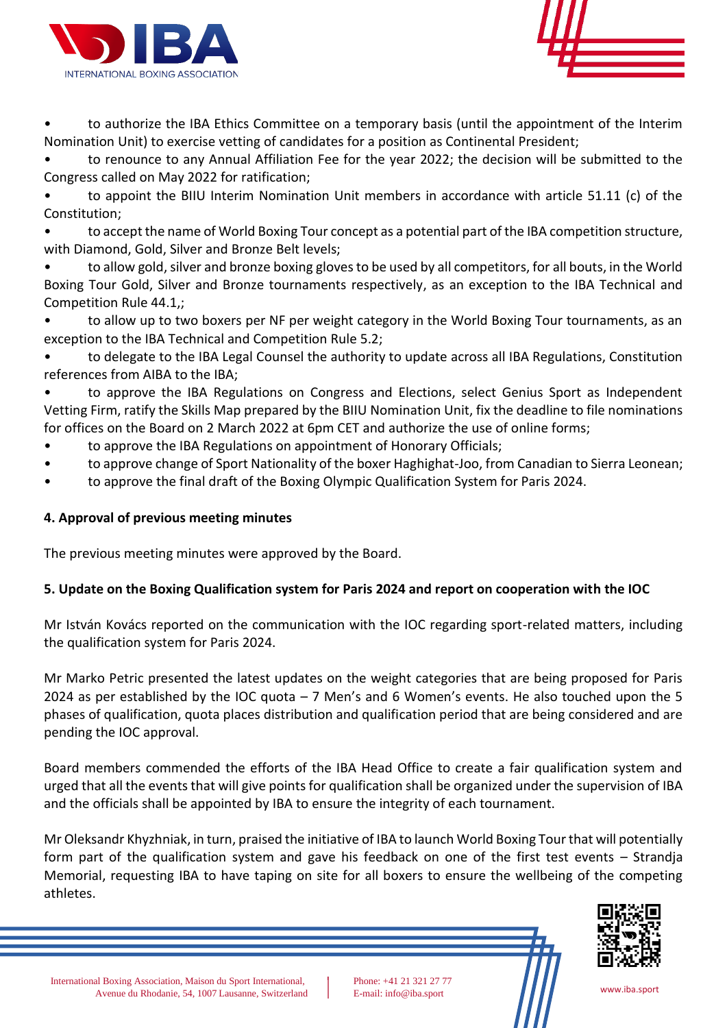



to authorize the IBA Ethics Committee on a temporary basis (until the appointment of the Interim Nomination Unit) to exercise vetting of candidates for a position as Continental President;

• to renounce to any Annual Affiliation Fee for the year 2022; the decision will be submitted to the Congress called on May 2022 for ratification;

• to appoint the BIIU Interim Nomination Unit members in accordance with article 51.11 (c) of the Constitution;

• to accept the name of World Boxing Tour concept as a potential part of the IBA competition structure, with Diamond, Gold, Silver and Bronze Belt levels;

• to allow gold, silver and bronze boxing gloves to be used by all competitors, for all bouts, in the World Boxing Tour Gold, Silver and Bronze tournaments respectively, as an exception to the IBA Technical and Competition Rule 44.1,;

• to allow up to two boxers per NF per weight category in the World Boxing Tour tournaments, as an exception to the IBA Technical and Competition Rule 5.2;

• to delegate to the IBA Legal Counsel the authority to update across all IBA Regulations, Constitution references from AIBA to the IBA;

to approve the IBA Regulations on Congress and Elections, select Genius Sport as Independent Vetting Firm, ratify the Skills Map prepared by the BIIU Nomination Unit, fix the deadline to file nominations for offices on the Board on 2 March 2022 at 6pm CET and authorize the use of online forms;

- to approve the IBA Regulations on appointment of Honorary Officials;
- to approve change of Sport Nationality of the boxer Haghighat-Joo, from Canadian to Sierra Leonean;
- to approve the final draft of the Boxing Olympic Qualification System for Paris 2024.

# **4. Approval of previous meeting minutes**

The previous meeting minutes were approved by the Board.

# **5. Update on the Boxing Qualification system for Paris 2024 and report on cooperation with the IOC**

Mr István Kovács reported on the communication with the IOC regarding sport-related matters, including the qualification system for Paris 2024.

Mr Marko Petric presented the latest updates on the weight categories that are being proposed for Paris 2024 as per established by the IOC quota – 7 Men's and 6 Women's events. He also touched upon the 5 phases of qualification, quota places distribution and qualification period that are being considered and are pending the IOC approval.

Board members commended the efforts of the IBA Head Office to create a fair qualification system and urged that all the events that will give points for qualification shall be organized under the supervision of IBA and the officials shall be appointed by IBA to ensure the integrity of each tournament.

Mr Oleksandr Khyzhniak, in turn, praised the initiative of IBA to launch World Boxing Tour that will potentially form part of the qualification system and gave his feedback on one of the first test events – Strandja Memorial, requesting IBA to have taping on site for all boxers to ensure the wellbeing of the competing athletes.



International Boxing Association, Maison du Sport International, Phone: +41 21 321 27 77 Avenue du Rhodanie, 54, 1007 Lausanne, Switzerland E-mail: info@iba.sport [www.iba.sport](http://www.iba.sport/) www.iba.sport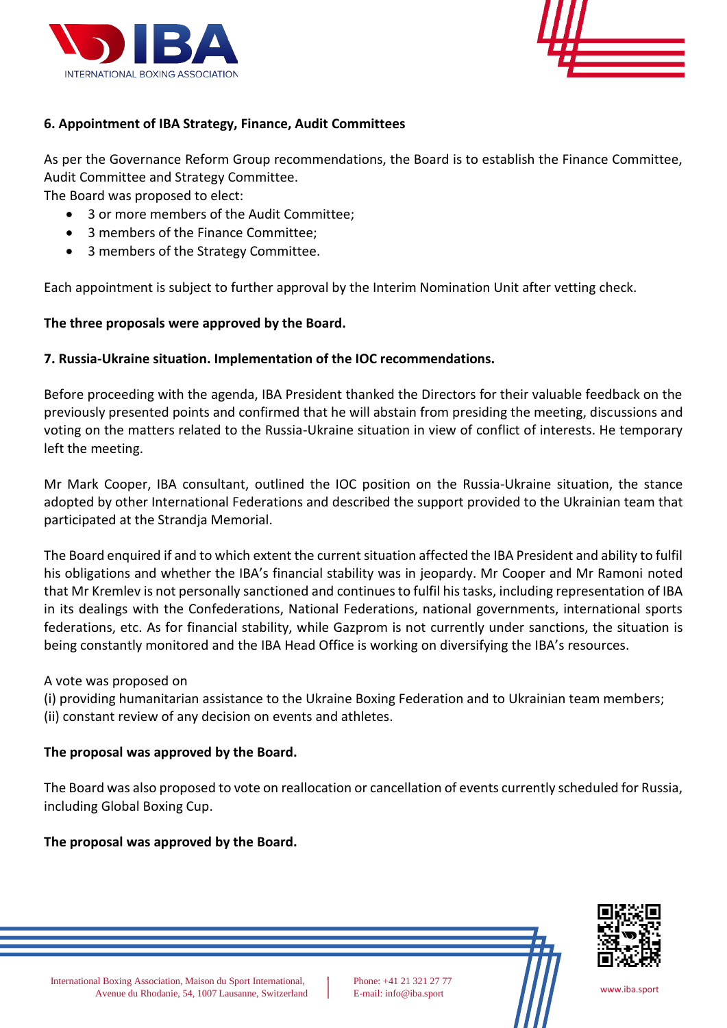



# **6. Appointment of IBA Strategy, Finance, Audit Committees**

As per the Governance Reform Group recommendations, the Board is to establish the Finance Committee, Audit Committee and Strategy Committee.

The Board was proposed to elect:

- 3 or more members of the Audit Committee;
- 3 members of the Finance Committee;
- 3 members of the Strategy Committee.

Each appointment is subject to further approval by the Interim Nomination Unit after vetting check.

## **The three proposals were approved by the Board.**

## **7. Russia-Ukraine situation. Implementation of the IOC recommendations.**

Before proceeding with the agenda, IBA President thanked the Directors for their valuable feedback on the previously presented points and confirmed that he will abstain from presiding the meeting, discussions and voting on the matters related to the Russia-Ukraine situation in view of conflict of interests. He temporary left the meeting.

Mr Mark Cooper, IBA consultant, outlined the IOC position on the Russia-Ukraine situation, the stance adopted by other International Federations and described the support provided to the Ukrainian team that participated at the Strandja Memorial.

The Board enquired if and to which extent the current situation affected the IBA President and ability to fulfil his obligations and whether the IBA's financial stability was in jeopardy. Mr Cooper and Mr Ramoni noted that Mr Kremlev is not personally sanctioned and continuesto fulfil his tasks, including representation of IBA in its dealings with the Confederations, National Federations, national governments, international sports federations, etc. As for financial stability, while Gazprom is not currently under sanctions, the situation is being constantly monitored and the IBA Head Office is working on diversifying the IBA's resources.

A vote was proposed on

(i) providing humanitarian assistance to the Ukraine Boxing Federation and to Ukrainian team members; (ii) constant review of any decision on events and athletes.

## **The proposal was approved by the Board.**

The Board was also proposed to vote on reallocation or cancellation of events currently scheduled for Russia, including Global Boxing Cup.

## **The proposal was approved by the Board.**

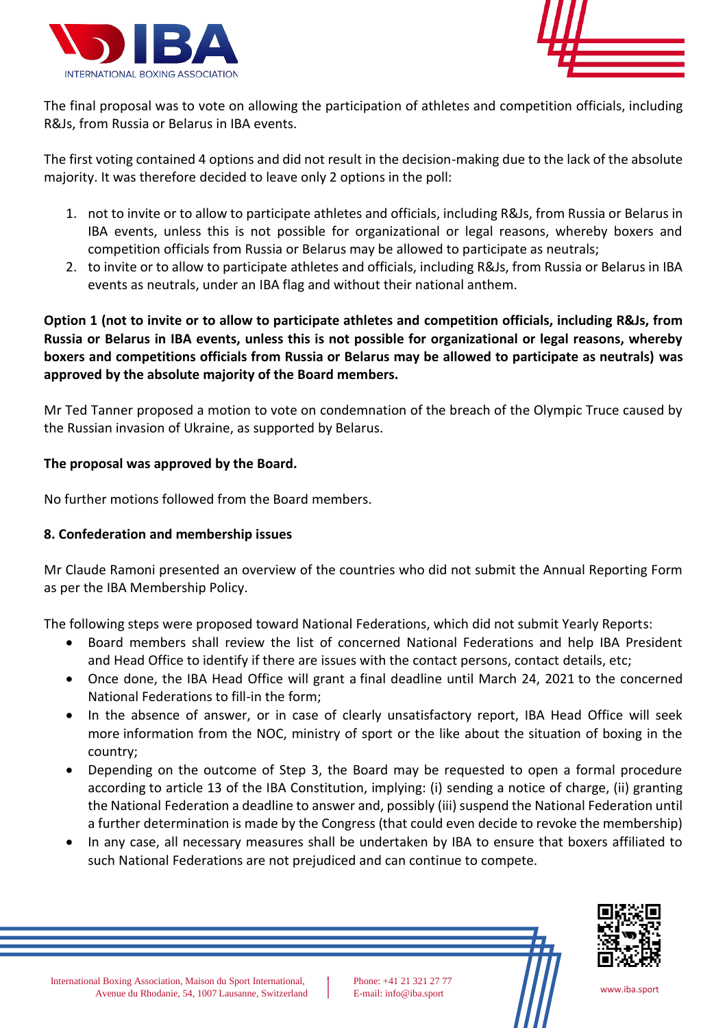



The final proposal was to vote on allowing the participation of athletes and competition officials, including R&Js, from Russia or Belarus in IBA events.

The first voting contained 4 options and did not result in the decision-making due to the lack of the absolute majority. It was therefore decided to leave only 2 options in the poll:

- 1. not to invite or to allow to participate athletes and officials, including R&Js, from Russia or Belarus in IBA events, unless this is not possible for organizational or legal reasons, whereby boxers and competition officials from Russia or Belarus may be allowed to participate as neutrals;
- 2. to invite or to allow to participate athletes and officials, including R&Js, from Russia or Belarus in IBA events as neutrals, under an IBA flag and without their national anthem.

**Option 1 (not to invite or to allow to participate athletes and competition officials, including R&Js, from Russia or Belarus in IBA events, unless this is not possible for organizational or legal reasons, whereby boxers and competitions officials from Russia or Belarus may be allowed to participate as neutrals) was approved by the absolute majority of the Board members.**

Mr Ted Tanner proposed a motion to vote on condemnation of the breach of the Olympic Truce caused by the Russian invasion of Ukraine, as supported by Belarus.

## **The proposal was approved by the Board.**

No further motions followed from the Board members.

# **8. Confederation and membership issues**

Mr Claude Ramoni presented an overview of the countries who did not submit the Annual Reporting Form as per the IBA Membership Policy.

The following steps were proposed toward National Federations, which did not submit Yearly Reports:

- Board members shall review the list of concerned National Federations and help IBA President and Head Office to identify if there are issues with the contact persons, contact details, etc;
- Once done, the IBA Head Office will grant a final deadline until March 24, 2021 to the concerned National Federations to fill-in the form;
- In the absence of answer, or in case of clearly unsatisfactory report, IBA Head Office will seek more information from the NOC, ministry of sport or the like about the situation of boxing in the country;
- Depending on the outcome of Step 3, the Board may be requested to open a formal procedure according to article 13 of the IBA Constitution, implying: (i) sending a notice of charge, (ii) granting the National Federation a deadline to answer and, possibly (iii) suspend the National Federation until a further determination is made by the Congress (that could even decide to revoke the membership)
- In any case, all necessary measures shall be undertaken by IBA to ensure that boxers affiliated to such National Federations are not prejudiced and can continue to compete.

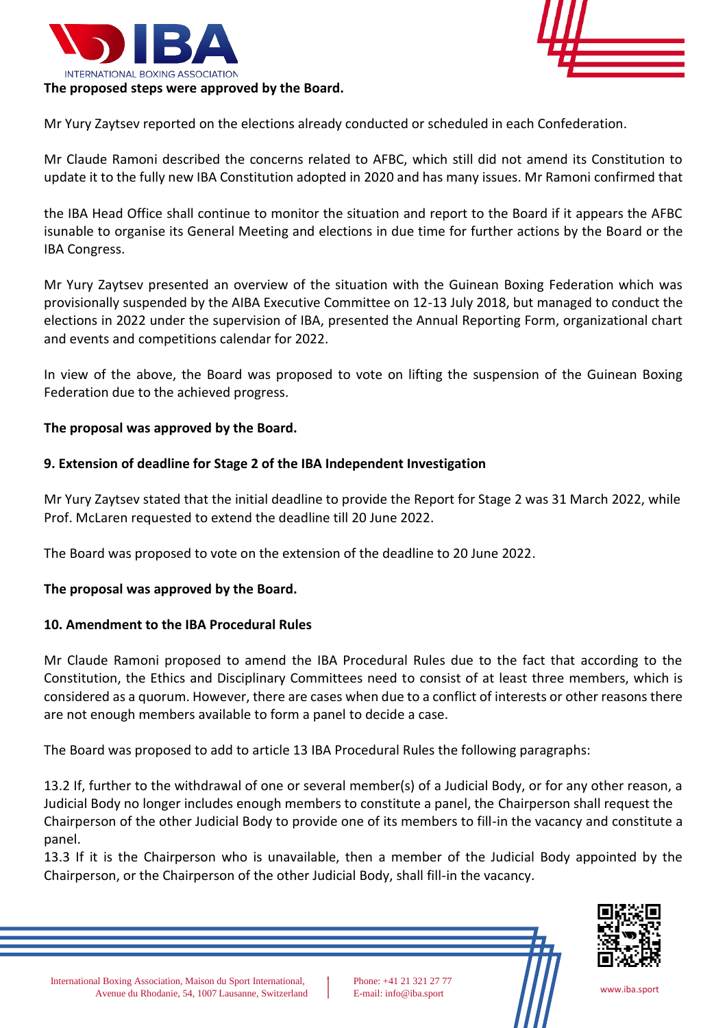



Mr Yury Zaytsev reported on the elections already conducted or scheduled in each Confederation.

Mr Claude Ramoni described the concerns related to AFBC, which still did not amend its Constitution to update it to the fully new IBA Constitution adopted in 2020 and has many issues. Mr Ramoni confirmed that

the IBA Head Office shall continue to monitor the situation and report to the Board if it appears the AFBC isunable to organise its General Meeting and elections in due time for further actions by the Board or the IBA Congress.

Mr Yury Zaytsev presented an overview of the situation with the Guinean Boxing Federation which was provisionally suspended by the AIBA Executive Committee on 12-13 July 2018, but managed to conduct the elections in 2022 under the supervision of IBA, presented the Annual Reporting Form, organizational chart and events and competitions calendar for 2022.

In view of the above, the Board was proposed to vote on lifting the suspension of the Guinean Boxing Federation due to the achieved progress.

## **The proposal was approved by the Board.**

## **9. Extension of deadline for Stage 2 of the IBA Independent Investigation**

Mr Yury Zaytsev stated that the initial deadline to provide the Report for Stage 2 was 31 March 2022, while Prof. McLaren requested to extend the deadline till 20 June 2022.

The Board was proposed to vote on the extension of the deadline to 20 June 2022.

## **The proposal was approved by the Board.**

## **10. Amendment to the IBA Procedural Rules**

Mr Claude Ramoni proposed to amend the IBA Procedural Rules due to the fact that according to the Constitution, the Ethics and Disciplinary Committees need to consist of at least three members, which is considered as a quorum. However, there are cases when due to a conflict of interests or other reasons there are not enough members available to form a panel to decide a case.

The Board was proposed to add to article 13 IBA Procedural Rules the following paragraphs:

13.2 If, further to the withdrawal of one or several member(s) of a Judicial Body, or for any other reason, a Judicial Body no longer includes enough members to constitute a panel, the Chairperson shall request the Chairperson of the other Judicial Body to provide one of its members to fill-in the vacancy and constitute a panel.

13.3 If it is the Chairperson who is unavailable, then a member of the Judicial Body appointed by the Chairperson, or the Chairperson of the other Judicial Body, shall fill-in the vacancy.